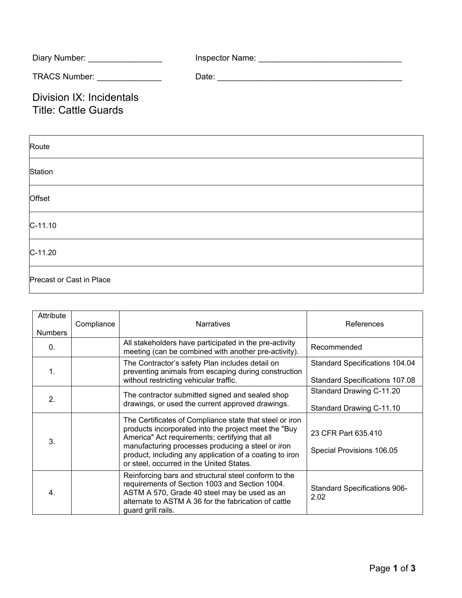| Diary Number:        | Inspector Name: |
|----------------------|-----------------|
| <b>TRACS Number:</b> | Date:           |

Division IX: Incidentals Title: Cattle Guards

| Route                    |  |  |
|--------------------------|--|--|
| Station                  |  |  |
| Offset                   |  |  |
| $C-11.10$                |  |  |
| $C-11.20$                |  |  |
| Precast or Cast in Place |  |  |

| Attribute<br><b>Numbers</b> | Compliance | <b>Narratives</b>                                                                                                                                                                                                                                                                                                             | References                                                              |
|-----------------------------|------------|-------------------------------------------------------------------------------------------------------------------------------------------------------------------------------------------------------------------------------------------------------------------------------------------------------------------------------|-------------------------------------------------------------------------|
| 0.                          |            | All stakeholders have participated in the pre-activity<br>meeting (can be combined with another pre-activity).                                                                                                                                                                                                                | Recommended                                                             |
| 1 <sub>1</sub>              |            | The Contractor's safety Plan includes detail on<br>preventing animals from escaping during construction<br>without restricting vehicular traffic.                                                                                                                                                                             | <b>Standard Specifications 104.04</b><br>Standard Specifications 107.08 |
| 2.                          |            | The contractor submitted signed and sealed shop<br>drawings, or used the current approved drawings.                                                                                                                                                                                                                           | Standard Drawing C-11.20<br>Standard Drawing C-11.10                    |
| 3.                          |            | The Certificates of Compliance state that steel or iron<br>products incorporated into the project meet the "Buy<br>America" Act requirements; certifying that all<br>manufacturing processes producing a steel or iron<br>product, including any application of a coating to iron<br>or steel, occurred in the United States. | 23 CFR Part 635.410<br>Special Provisions 106.05                        |
| 4.                          |            | Reinforcing bars and structural steel conform to the<br>requirements of Section 1003 and Section 1004.<br>ASTM A 570, Grade 40 steel may be used as an<br>alternate to ASTM A 36 for the fabrication of cattle<br>guard grill rails.                                                                                          | <b>Standard Specifications 906-</b><br>2.02                             |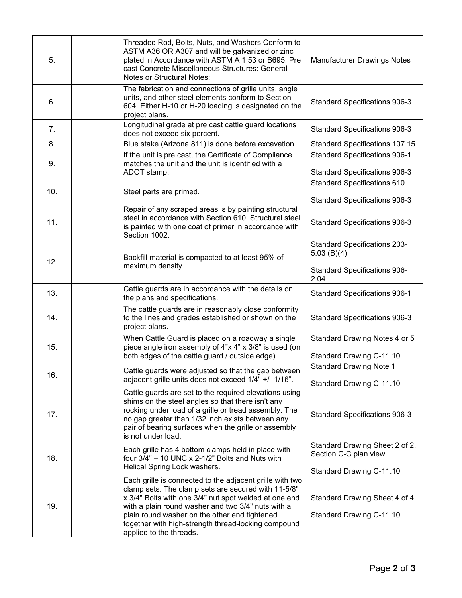| 5.  | Threaded Rod, Bolts, Nuts, and Washers Conform to<br>ASTM A36 OR A307 and will be galvanized or zinc<br>plated in Accordance with ASTM A 1 53 or B695. Pre<br>cast Concrete Miscellaneous Structures: General<br><b>Notes or Structural Notes:</b>                                                                                                                | <b>Manufacturer Drawings Notes</b>                                           |
|-----|-------------------------------------------------------------------------------------------------------------------------------------------------------------------------------------------------------------------------------------------------------------------------------------------------------------------------------------------------------------------|------------------------------------------------------------------------------|
| 6.  | The fabrication and connections of grille units, angle<br>units, and other steel elements conform to Section<br>604. Either H-10 or H-20 loading is designated on the<br>project plans.                                                                                                                                                                           | Standard Specifications 906-3                                                |
| 7.  | Longitudinal grade at pre cast cattle guard locations<br>does not exceed six percent.                                                                                                                                                                                                                                                                             | <b>Standard Specifications 906-3</b>                                         |
| 8.  | Blue stake (Arizona 811) is done before excavation.                                                                                                                                                                                                                                                                                                               | <b>Standard Specifications 107.15</b>                                        |
| 9.  | If the unit is pre cast, the Certificate of Compliance<br>matches the unit and the unit is identified with a<br>ADOT stamp.                                                                                                                                                                                                                                       | <b>Standard Specifications 906-1</b><br><b>Standard Specifications 906-3</b> |
|     |                                                                                                                                                                                                                                                                                                                                                                   | <b>Standard Specifications 610</b>                                           |
| 10. | Steel parts are primed.                                                                                                                                                                                                                                                                                                                                           | <b>Standard Specifications 906-3</b>                                         |
| 11. | Repair of any scraped areas is by painting structural<br>steel in accordance with Section 610. Structural steel<br>is painted with one coat of primer in accordance with<br>Section 1002.                                                                                                                                                                         | <b>Standard Specifications 906-3</b>                                         |
| 12. | Backfill material is compacted to at least 95% of                                                                                                                                                                                                                                                                                                                 | <b>Standard Specifications 203-</b><br>5.03(B)(4)                            |
|     | maximum density.                                                                                                                                                                                                                                                                                                                                                  | <b>Standard Specifications 906-</b><br>2.04                                  |
| 13. | Cattle guards are in accordance with the details on<br>the plans and specifications.                                                                                                                                                                                                                                                                              | <b>Standard Specifications 906-1</b>                                         |
| 14. | The cattle guards are in reasonably close conformity<br>to the lines and grades established or shown on the<br>project plans.                                                                                                                                                                                                                                     | Standard Specifications 906-3                                                |
| 15. | When Cattle Guard is placed on a roadway a single<br>piece angle iron assembly of 4"x 4" x 3/8" is used (on                                                                                                                                                                                                                                                       | Standard Drawing Notes 4 or 5                                                |
|     | both edges of the cattle guard / outside edge).                                                                                                                                                                                                                                                                                                                   | Standard Drawing C-11.10                                                     |
| 16. | Cattle guards were adjusted so that the gap between<br>adjacent grille units does not exceed 1/4" +/- 1/16".                                                                                                                                                                                                                                                      | <b>Standard Drawing Note 1</b><br>Standard Drawing C-11.10                   |
| 17. | Cattle guards are set to the required elevations using<br>shims on the steel angles so that there isn't any<br>rocking under load of a grille or tread assembly. The<br>no gap greater than 1/32 inch exists between any<br>pair of bearing surfaces when the grille or assembly<br>is not under load.                                                            | Standard Specifications 906-3                                                |
| 18. | Each grille has 4 bottom clamps held in place with<br>four $3/4"$ – 10 UNC x 2-1/2" Bolts and Nuts with<br>Helical Spring Lock washers.                                                                                                                                                                                                                           | Standard Drawing Sheet 2 of 2,<br>Section C-C plan view                      |
|     |                                                                                                                                                                                                                                                                                                                                                                   | Standard Drawing C-11.10                                                     |
| 19. | Each grille is connected to the adjacent grille with two<br>clamp sets. The clamp sets are secured with 11-5/8"<br>x 3/4" Bolts with one 3/4" nut spot welded at one end<br>with a plain round washer and two 3/4" nuts with a<br>plain round washer on the other end tightened<br>together with high-strength thread-locking compound<br>applied to the threads. | Standard Drawing Sheet 4 of 4<br>Standard Drawing C-11.10                    |